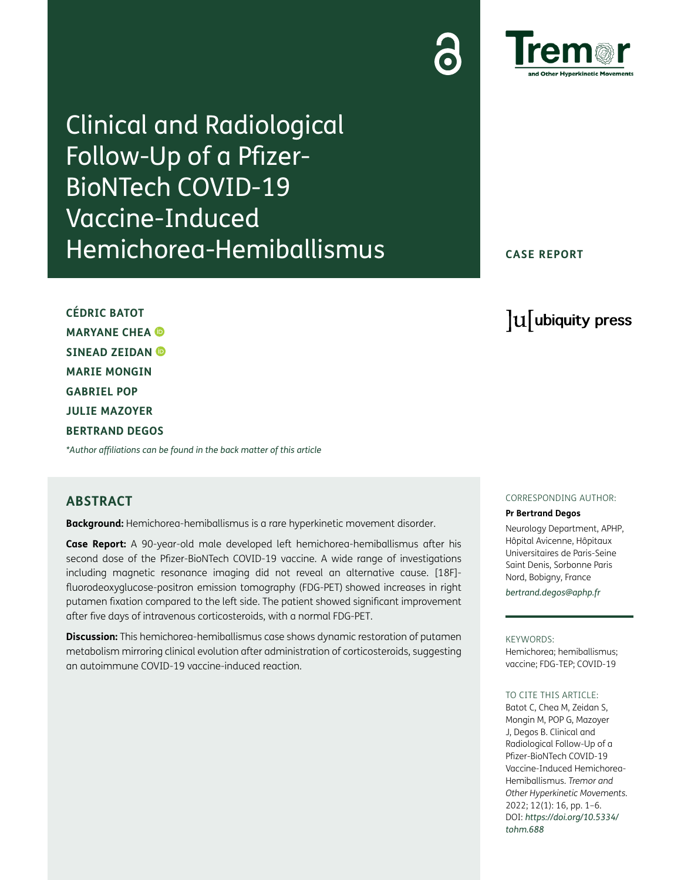Clinical and Radiological Follow-Up of a Pfizer-BioNTech COVID-19 Vaccine-Induced Hemichorea-Hemiballismus

**CASE REPORT**

lu ubiquity press

**CÉDRIC BATOT MARYANE CHEA SINEAD ZEIDAN MARIE MONGIN GABRIEL POP JULIE MAZOYER BERTRAND DEGOS**

*[\\*Author affiliations can be found in the back matter of this article](#page-4-0)*

# **ABSTRACT**

**Background:** Hemichorea-hemiballismus is a rare hyperkinetic movement disorder.

**Case Report:** A 90-year-old male developed left hemichorea-hemiballismus after his second dose of the Pfizer-BioNTech COVID-19 vaccine. A wide range of investigations including magnetic resonance imaging did not reveal an alternative cause. [18F] fluorodeoxyglucose-positron emission tomography (FDG-PET) showed increases in right putamen fixation compared to the left side. The patient showed significant improvement after five days of intravenous corticosteroids, with a normal FDG-PET.

**Discussion:** This hemichorea-hemiballismus case shows dynamic restoration of putamen metabolism mirroring clinical evolution after administration of corticosteroids, suggesting an autoimmune COVID-19 vaccine-induced reaction.

# CORRESPONDING AUTHOR:

## **Pr Bertrand Degos**

Neurology Department, APHP, Hôpital Avicenne, Hôpitaux Universitaires de Paris-Seine Saint Denis, Sorbonne Paris Nord, Bobigny, France *[bertrand.degos@aphp.fr](mailto:bertrand.degos@aphp.fr)*

KEYWORDS:

Hemichorea; hemiballismus; vaccine; FDG-TEP; COVID-19

## TO CITE THIS ARTICLE:

Batot C, Chea M, Zeidan S, Mongin M, POP G, Mazoyer J, Degos B. Clinical and Radiological Follow-Up of a Pfizer-BioNTech COVID-19 Vaccine-Induced Hemichorea-Hemiballismus. *Tremor and Other Hyperkinetic Movements.* 2022; 12(1): 16, pp. 1–6. DOI: *[https://doi.org/10.5334/](https://doi.org/10.5334/tohm.688) [tohm.688](https://doi.org/10.5334/tohm.688)*